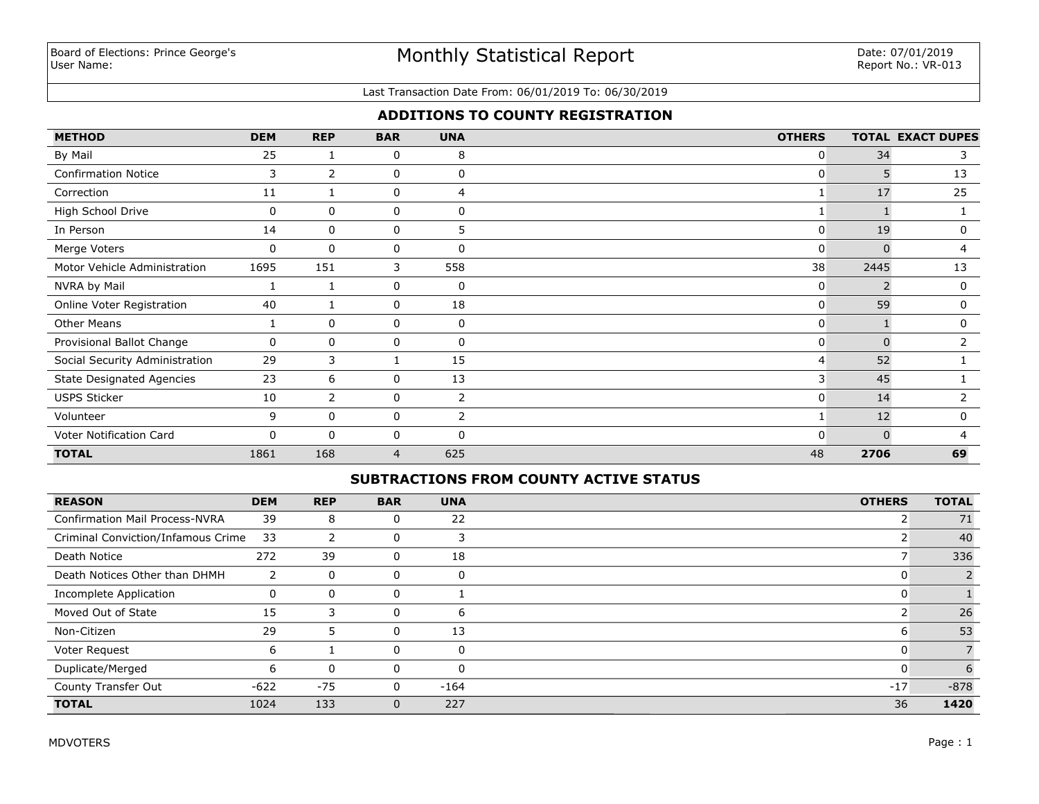# Monthly Statistical Report

#### Last Transaction Date From: 06/01/2019 To: 06/30/2019

## **ADDITIONS TO COUNTY REGISTRATION**

| <b>METHOD</b>                    | <b>DEM</b> | <b>REP</b>     | <b>BAR</b> | <b>UNA</b>     | <b>OTHERS</b> |          | <b>TOTAL EXACT DUPES</b> |
|----------------------------------|------------|----------------|------------|----------------|---------------|----------|--------------------------|
| By Mail                          | 25         |                | 0          | 8              | 0             | 34       | 3                        |
| <b>Confirmation Notice</b>       | 3          | $\overline{2}$ | 0          | 0              | 0             | 5.       | 13                       |
| Correction                       | 11         | 1              | 0          | $\overline{4}$ |               | 17       | 25                       |
| High School Drive                | 0          | 0              | 0          | 0              |               |          |                          |
| In Person                        | 14         | 0              | 0          | 5              | 0             | 19       | $\mathbf 0$              |
| Merge Voters                     | 0          | $\mathbf{0}$   | 0          | 0              | 0             | $\Omega$ | 4                        |
| Motor Vehicle Administration     | 1695       | 151            | 3          | 558            | 38            | 2445     | 13                       |
| NVRA by Mail                     |            |                | 0          | 0              | 0             |          | 0                        |
| Online Voter Registration        | 40         |                | 0          | 18             | 0             | 59       | 0                        |
| <b>Other Means</b>               |            | $\mathbf{0}$   | 0          | 0              | 0             |          | 0                        |
| Provisional Ballot Change        | 0          | 0              | 0          | 0              | 0             | $\Omega$ | 2                        |
| Social Security Administration   | 29         | 3              |            | 15             | 4             | 52       |                          |
| <b>State Designated Agencies</b> | 23         | 6              | 0          | 13             | 3             | 45       |                          |
| <b>USPS Sticker</b>              | 10         | $\overline{2}$ | 0          | $\overline{2}$ | 0             | 14       |                          |
| Volunteer                        | 9          | $\mathbf{0}$   | 0          | $\overline{2}$ |               | 12       | 0                        |
| Voter Notification Card          | 0          | $\mathbf{0}$   | 0          | 0              | O             |          | 4                        |
| <b>TOTAL</b>                     | 1861       | 168            | 4          | 625            | 48            | 2706     | 69                       |

## **SUBTRACTIONS FROM COUNTY ACTIVE STATUS**

| <b>REASON</b>                         | <b>DEM</b> | <b>REP</b> | <b>BAR</b> | <b>UNA</b> | <b>OTHERS</b> | <b>TOTAL</b> |
|---------------------------------------|------------|------------|------------|------------|---------------|--------------|
| <b>Confirmation Mail Process-NVRA</b> | 39         | 8          | 0          | 22         |               | 71           |
| Criminal Conviction/Infamous Crime    | 33         |            |            |            |               | 40           |
| Death Notice                          | 272        | 39         | 0          | 18         |               | 336          |
| Death Notices Other than DHMH         | 2          | $\Omega$   | 0          |            | U             |              |
| Incomplete Application                | 0          | $\Omega$   | 0          |            | 0             |              |
| Moved Out of State                    | 15         | 3          | $\Omega$   | 6          |               | 26           |
| Non-Citizen                           | 29         | 5          | 0          | 13         | 6             | 53           |
| Voter Request                         | 6          |            | 0          |            | 0             |              |
| Duplicate/Merged                      | 6          | $\Omega$   | 0          | n          | 0             | 6            |
| County Transfer Out                   | $-622$     | $-75$      | 0          | $-164$     | $-17$         | $-878$       |
| <b>TOTAL</b>                          | 1024       | 133        | 0          | 227        | 36            | 1420         |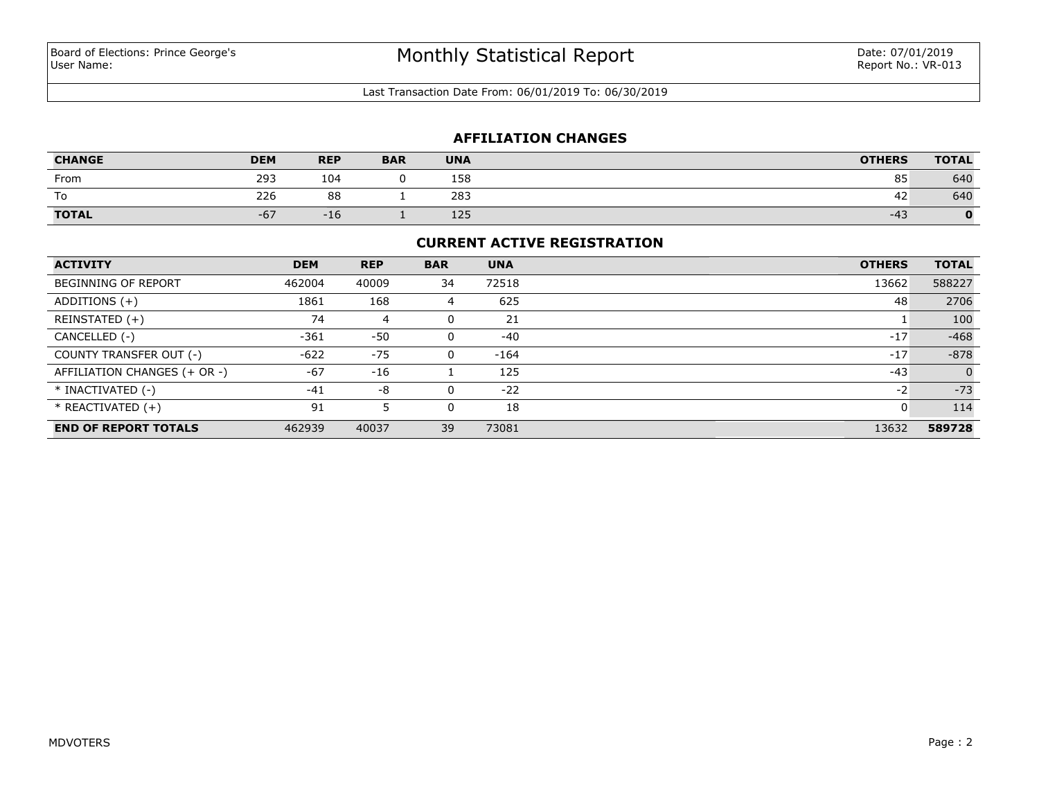Last Transaction Date From: 06/01/2019 To: 06/30/2019

## **AFFILIATION CHANGES**

| <b>CHANGE</b> | <b>DEM</b> | <b>REP</b> | <b>BAR</b> | <b>UNA</b> | <b>OTHERS</b> | <b>TOTAL</b> |
|---------------|------------|------------|------------|------------|---------------|--------------|
| From          | 293        | 104        |            | 158        | 85            | 640          |
| To            | 226        | 88         |            | 283        | 42            | 640          |
| <b>TOTAL</b>  | $-67$      | $-16$      |            | 125        | $-43$         |              |

### **CURRENT ACTIVE REGISTRATION**

| <b>ACTIVITY</b>              | <b>DEM</b> | <b>REP</b> | <b>BAR</b> | <b>UNA</b> | <b>OTHERS</b> | <b>TOTAL</b> |
|------------------------------|------------|------------|------------|------------|---------------|--------------|
| <b>BEGINNING OF REPORT</b>   | 462004     | 40009      | 34         | 72518      | 13662         | 588227       |
| ADDITIONS $(+)$              | 1861       | 168        | 4          | 625        | 48            | 2706         |
| REINSTATED (+)               | 74         | 4          | 0          | 21         |               | 100          |
| CANCELLED (-)                | -361       | $-50$      | 0          | $-40$      | $-17$         | $-468$       |
| COUNTY TRANSFER OUT (-)      | $-622$     | $-75$      | 0          | $-164$     | $-17$         | $-878$       |
| AFFILIATION CHANGES (+ OR -) | $-67$      | $-16$      |            | 125        | $-43$         | $\Omega$     |
| * INACTIVATED (-)            | $-41$      | -8         | $\Omega$   | $-22$      | $-2$          | $-73$        |
| $*$ REACTIVATED $(+)$        | 91         |            | 0          | 18         | -C            | 114          |
| <b>END OF REPORT TOTALS</b>  | 462939     | 40037      | 39         | 73081      | 13632         | 589728       |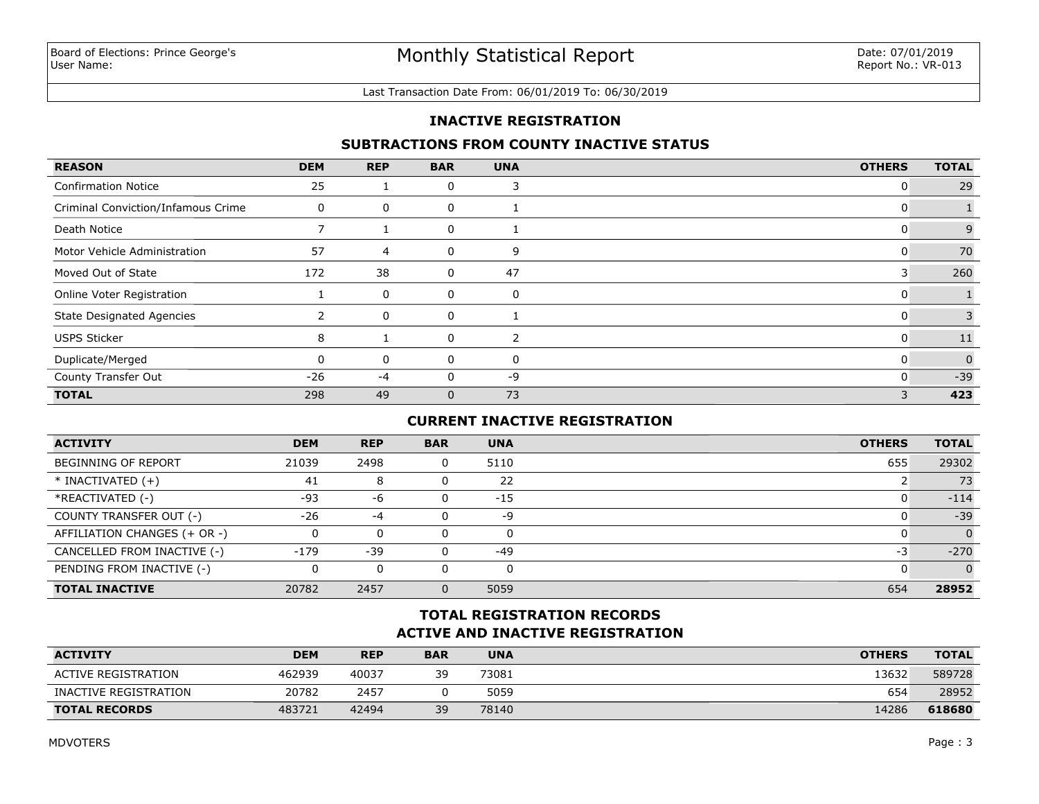#### Last Transaction Date From: 06/01/2019 To: 06/30/2019

## **INACTIVE REGISTRATION**

## **SUBTRACTIONS FROM COUNTY INACTIVE STATUS**

| <b>REASON</b>                      | <b>DEM</b> | <b>REP</b> | <b>BAR</b>   | <b>UNA</b> | <b>OTHERS</b> | <b>TOTAL</b> |
|------------------------------------|------------|------------|--------------|------------|---------------|--------------|
| <b>Confirmation Notice</b>         | 25         |            | 0            |            | 0             | 29           |
| Criminal Conviction/Infamous Crime | $\Omega$   | 0          | 0            |            | U             |              |
| Death Notice                       |            |            | 0            |            | U             | 9            |
| Motor Vehicle Administration       | 57         | 4          | 0            | 9          | 0             | 70           |
| Moved Out of State                 | 172        | 38         | 0            | 47         | 3             | 260          |
| Online Voter Registration          |            | 0          | 0            | 0          | O             |              |
| <b>State Designated Agencies</b>   |            | 0          | 0            |            | 0             |              |
| <b>USPS Sticker</b>                | 8          |            | 0            | 2          | 0             | 11           |
| Duplicate/Merged                   |            | 0          | $\Omega$     | 0          | $\mathbf{0}$  | $\Omega$     |
| County Transfer Out                | $-26$      | $-4$       | 0            | -9         | 0             | $-39$        |
| <b>TOTAL</b>                       | 298        | 49         | $\mathbf{0}$ | 73         | 3             | 423          |

# **CURRENT INACTIVE REGISTRATION**

| <b>ACTIVITY</b>              | <b>DEM</b> | <b>REP</b> | <b>BAR</b> | <b>UNA</b> | <b>OTHERS</b> | <b>TOTAL</b> |
|------------------------------|------------|------------|------------|------------|---------------|--------------|
| <b>BEGINNING OF REPORT</b>   | 21039      | 2498       |            | 5110       | 655           | 29302        |
| $*$ INACTIVATED $(+)$        | 41         | 8          |            | 22         |               | 73           |
| *REACTIVATED (-)             | $-93$      | -6         |            | $-15$      |               | $-114$       |
| COUNTY TRANSFER OUT (-)      | $-26$      | $-4$       |            | -9         |               | $-39$        |
| AFFILIATION CHANGES (+ OR -) |            | 0          |            | 0          |               | $\Omega$     |
| CANCELLED FROM INACTIVE (-)  | $-179$     | $-39$      |            | $-49$      | -3            | $-270$       |
| PENDING FROM INACTIVE (-)    | 0          | 0          |            | 0          |               | $\Omega$     |
| <b>TOTAL INACTIVE</b>        | 20782      | 2457       |            | 5059       | 654           | 28952        |

# **ACTIVE AND INACTIVE REGISTRATION TOTAL REGISTRATION RECORDS**

| <b>ACTIVITY</b>       | <b>DEM</b> | <b>REP</b> | <b>BAR</b> | <b>UNA</b> | <b>OTHERS</b> | <b>TOTAL</b> |
|-----------------------|------------|------------|------------|------------|---------------|--------------|
| ACTIVE REGISTRATION   | 462939     | 40037      | 39         | 73081      | 13632         | 589728       |
| INACTIVE REGISTRATION | 20782      | 2457       |            | 5059       | 654           | 28952        |
| <b>TOTAL RECORDS</b>  | 483721     | 42494      | 39         | 78140      | 14286         | 618680       |